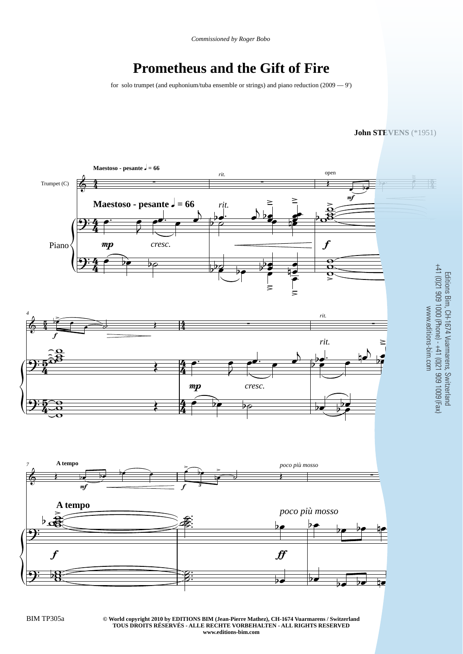*Commissioned by Roger Bobo*

## **Prometheus and the Gift of Fire**

for solo trumpet (and euphonium/tuba ensemble or strings) and piano reduction  $(2009 - 9')$ 

## **John STEVENS** (\*1951)



Editions Bim, CH-1674 Vuarmarens, Switzerland +41 (0)21 909 1000 (Phone) - +41 (0)21 909 1009 (Fax)

**© World copyright 2010 by EDITIONS BIM (Jean-Pierre Mathez), CH-1674 Vuarmarens / Switzerland** BIM TP305a 3 **TOUS DROITS RÉSERVÉS - ALLE RECHTE VORBEHALTEN - ALL RIGHTS RESERVED www.editions-bim.com**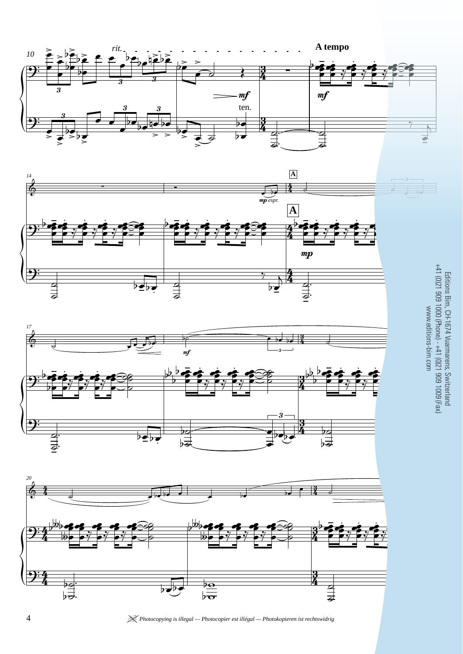







Editions Bim, CH-1674 Vuarmarens, Switzerland<br>+41 (0)21 909 1000 (Phone) - +41 (0)21 909 1009 (Fax) www editions-bim.com

 $\cancel{\mathcal{K}}$ Photocopying is illegal — Photocopier est illégal — Photokopieren ist rechtswidrig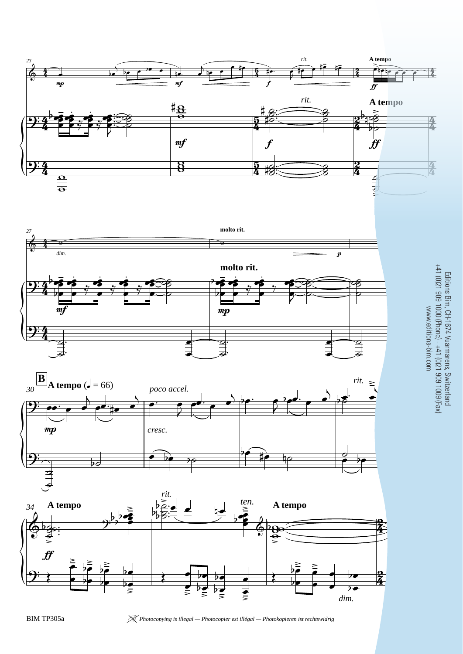







Editions Bim, CH-1674 Vuarmarens, Switzerland<br>+41 (0)21 909 1000 (Phone) - +41 (0)21 909 1009 (Fax) www.editions-bim.com

 $\cancel{\mathcal{K}}$  Photocopying is illegal — Photocopier est illégal — Photokopieren ist rechtswidrig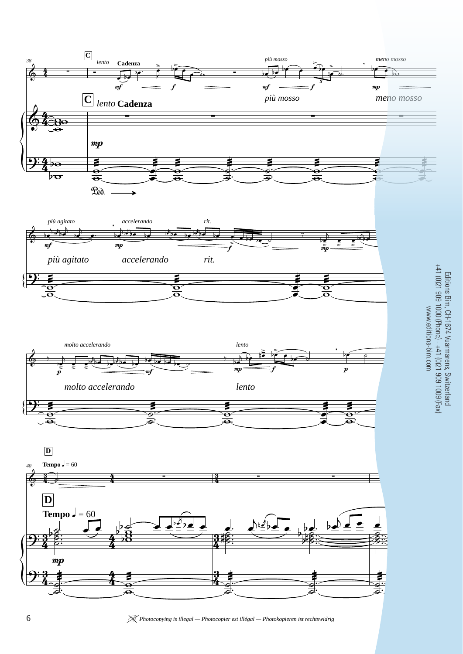

6 **12 |** *Photocopying is illegal — Photocopier est illégal — Photokopieren ist rechtswidrig* BIM TP305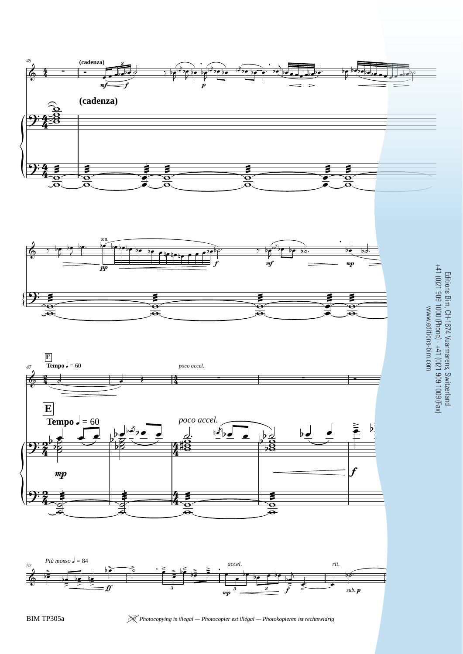

Editions Bim, CH-1674 Vuarmarens, Switzerland

BIM TP305a | *Photocopying is illegal — Photocopier est illégal — Photokopieren ist rechtswidrig* 7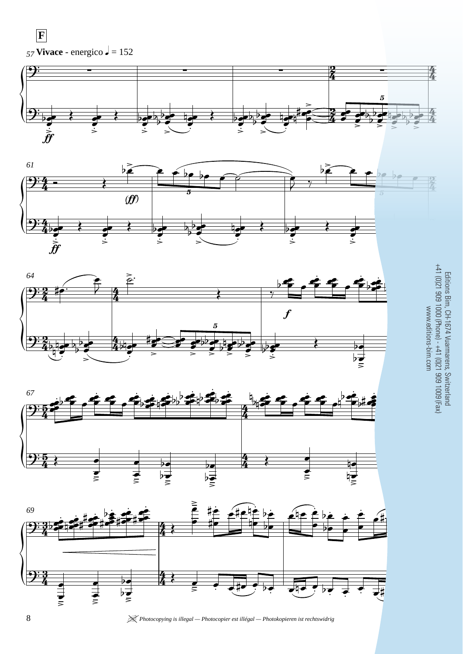$\boxed{\mathbf{F}}$ 

57 Vivace - energico  $J = 152$ 











 $\cancel{\mathcal{K}}$ Photocopying is illegal — Photocopier est illégal — Photokopieren ist rechtswidrig

Editions Bim, CH-1674 Vuarmarens, Switzerland<br>+41 (0)21 909 1000 (Phone) - +41 (0)21 909 1009 (Fax) www.editions-bim.com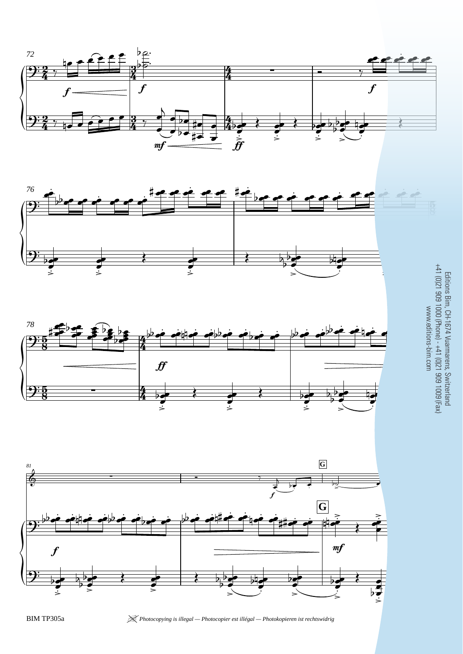







Editions Bim, CH-1674 Vuarmarens, Switzerland<br>+41 (0)21 909 1000 (Phone) - +41 (0)21 909 1009 (Fax) www.editions-bim.com

 $\cancel{\mathcal{K}}$ Photocopying is illegal — Photocopier est illégal — Photokopieren ist rechtswidrig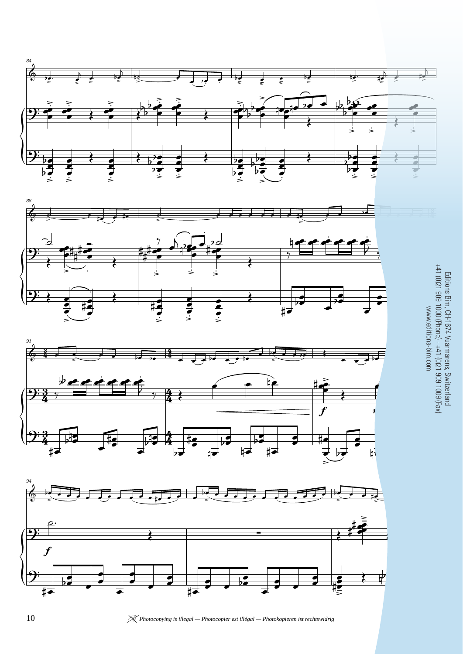







Editions Bim, CH-1674 Vuarmarens, Switzerland<br>+41 (0)21 909 1000 (Phone) - +41 (0)21 909 1009 (Fax)<br>www.editions-bim.com

 $\cancel{\mathcal{K}}$ Photocopying is illegal — Photocopier est illégal — Photokopieren ist rechtswidrig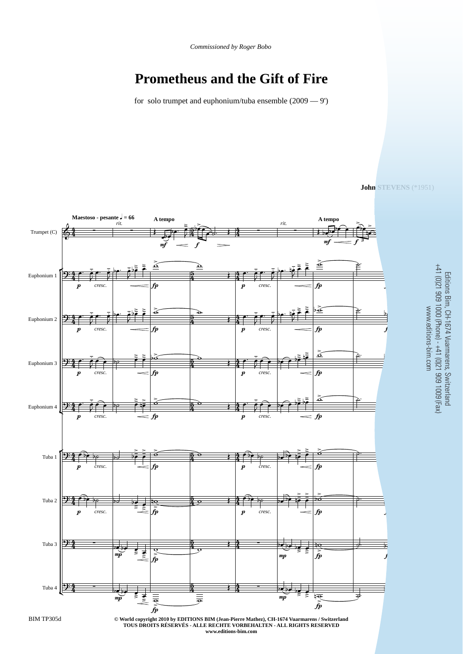*Commissioned by Roger Bobo*

## **Prometheus and the Gift of Fire**

for solo trumpet and euphonium/tuba ensemble (2009 — 9')

**John STEVENS** (\*1951)



Editions Bim, CH-1674 Vuarmarens, Switzerland<br>+41 (0)21 909 1000 (Phone) - +41 (0)21 909 1009 (Fax) +41 (0)21 909 1000 (Phone) - +41 (0)21 909 1009 (Fax) Editions Bim, CH-1674 Vuarmarens, Switzerland www editions-bim.com www.editions-bim.com

**TOUS DROITS RÉSERVÉS - ALLE RECHTE VORBEHALTEN - ALL RIGHTS RESERVED www.editions-bim.com**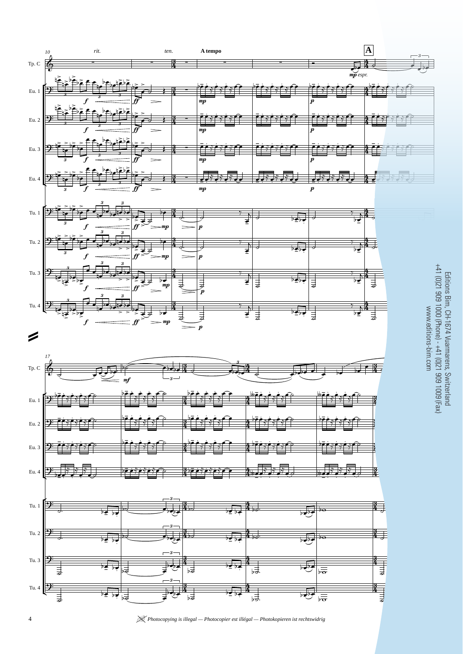

Editions Bim, CH-1674 Vuarmarens, Switzerland

4 *A* Photocopying is illegal — Photocopier est illégal — Photokopieren ist rechtswidrig **B**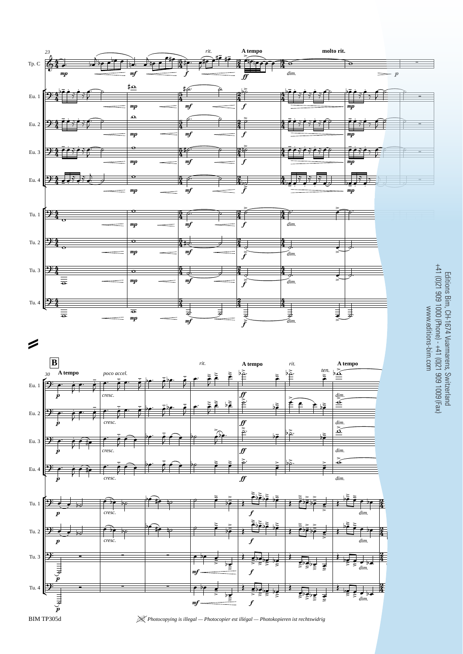

Editions Bim, CH-1674 Vuarmarens, Switzerland +41 (0)21 909 1000 (Phone) - +41 (0)21 909 1009 (Fax)

BIM TP305d | *Photocopying is illegal — Photocopier est illégal — Photokopieren ist rechtswidrig* 5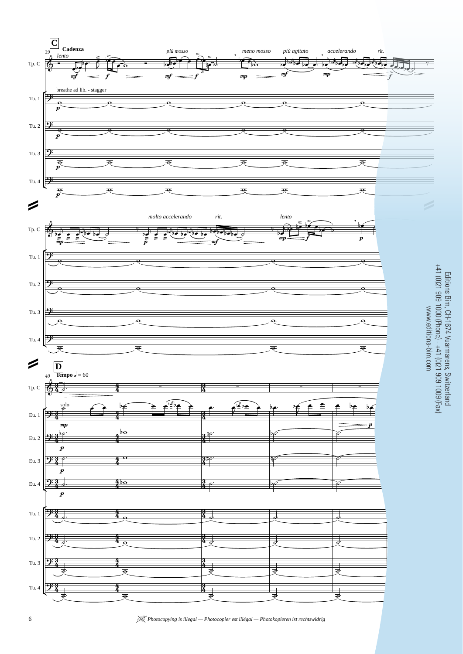

6 *K Photocopying is illegal — Photocopier est illégal — Photokopieren ist rechtswidrig*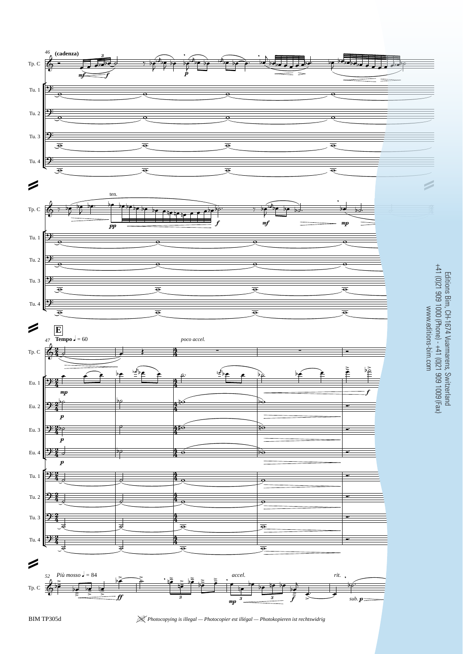

Editions Bim, CH-1674 Vuarmarens, Switzerland

BIM TP305d | *Photocopying is illegal — Photocopier est illégal — Photokopieren ist rechtswidrig* 7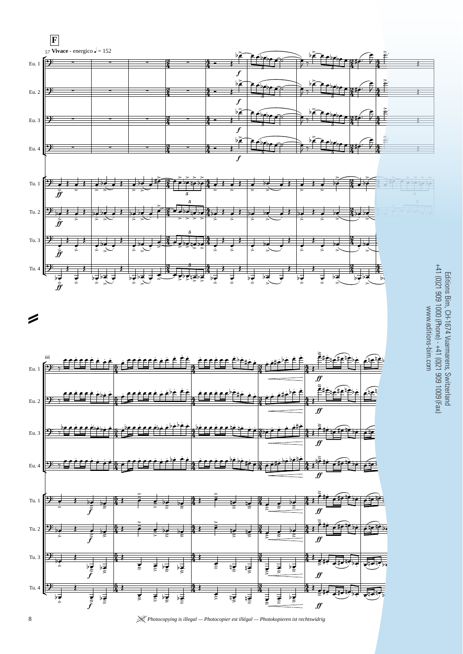

8 *K Photocopying is illegal — Photocopier est illégal — Photokopieren ist rechtswidrig* 

Editions Bim, CH-1674 Vuarmarens, Switzerland +41 (0)21 909 1000 (Phone) - +41 (0)21 909 1009 (Fax)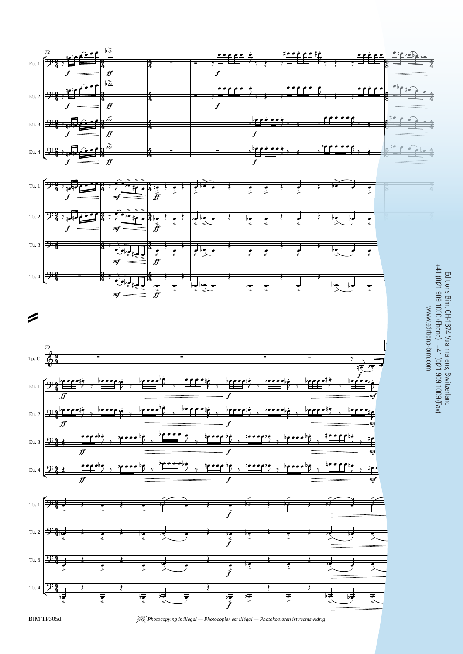



BIM TP305d | *Photocopying is illegal — Photocopier est illégal — Photokopieren ist rechtswidrig* 9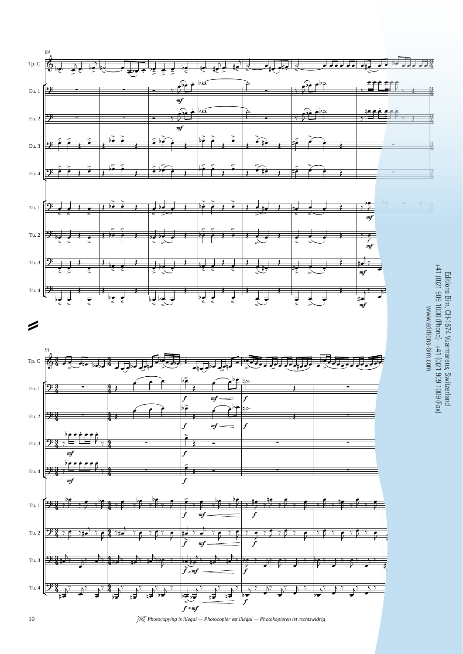

10 *A* Photocopying is illegal — Photocopier est illégal — Photokopieren ist rechtswidrig  $\mathbb X$ 

Editions Bim, CH-1674 Vuarmarens, Switzerland +41 (0)21 909 1000 (Phone) - +41 (0)21 909 1009 (Fax)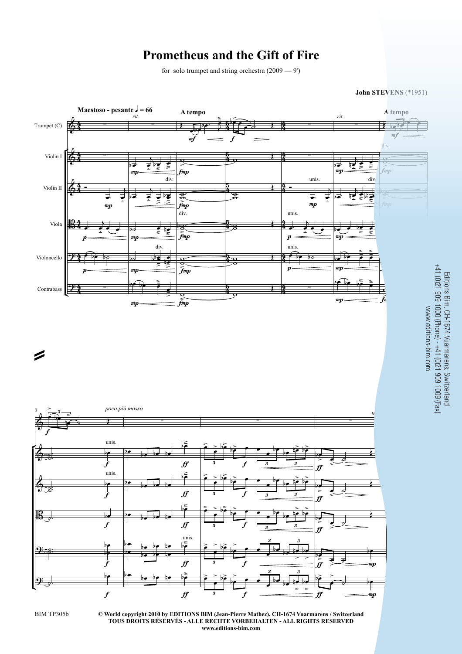## **Prometheus and the Gift of Fire**

for solo trumpet and string orchestra (2009 — 9')



**John STEVENS** (\*1951)

**© World copyright 2010 by EDITIONS BIM (Jean-Pierre Mathez), CH-1674 Vuarmarens / Switzerland** BIM TP305b 3 **TOUS DROITS RÉSERVÉS - ALLE RECHTE VORBEHALTEN - ALL RIGHTS RESERVED www.editions-bim.com**

Editions Bim, CH-1674 Vuarmarens, Switzerland<br>+41 (0)21 909 1000 (Phone) - +41 (0)21 909 1009 (Fax)<br>www.editions-bim.com +41 (0)21 909 1000 (Phone) - +41 (0)21 909 1009 (Fax) Editions Bim, CH-1674 Vuarmarens, Switzerland www.editions-bim.com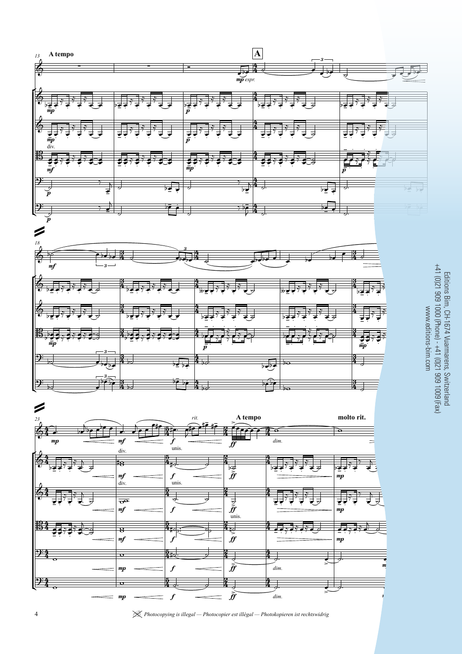





4 *A Photocopying is illegal — Photocopier est illégal — Photokopieren ist rechtswidrig*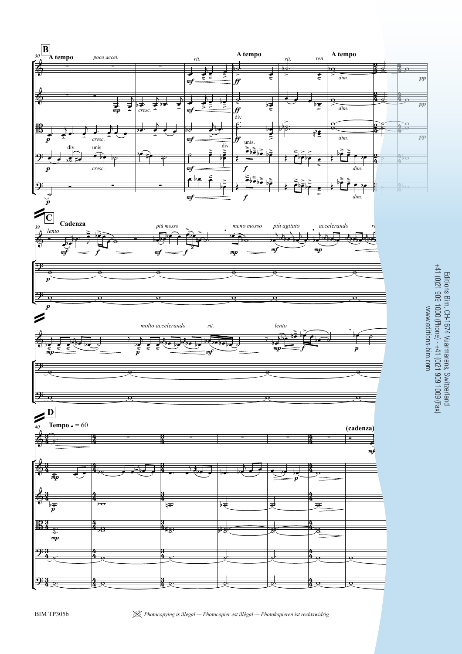

Editions Bim, CH-1674 Vuarmarens, Switzerland +41 (0)21 909 1000 (Phone) - +41 (0)21 909 1009 (Fax) www.editions-bim.com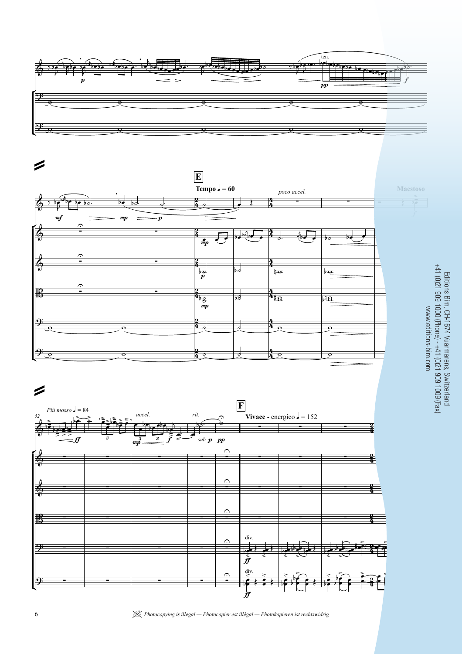



 $\overline{\phantom{a}}$ 

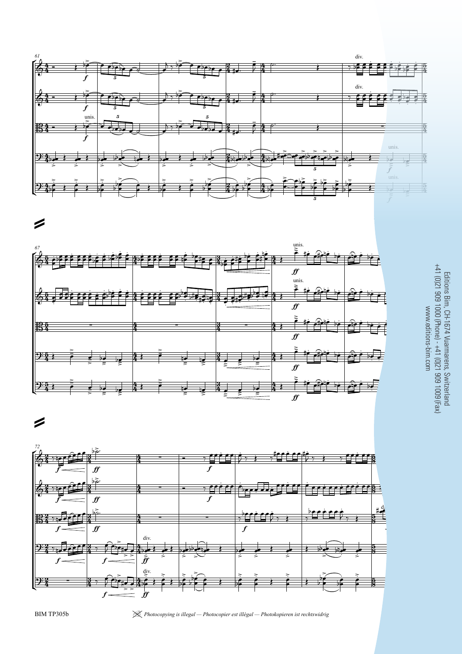

=



=



BIM TP305b | *Photocopying is illegal — Photocopier est illégal — Photokopieren ist rechtswidrig* 7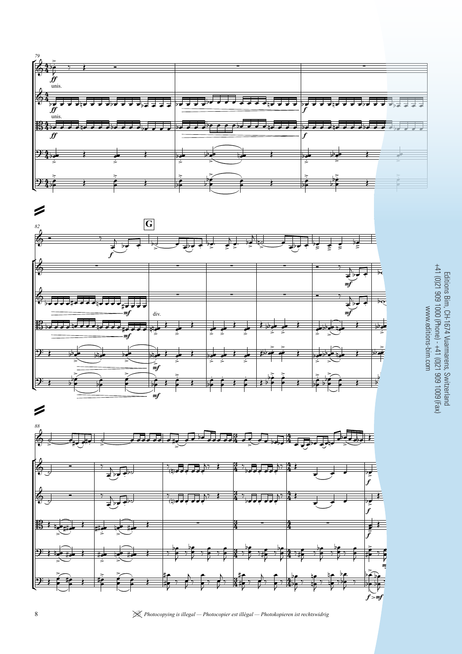



88 的 JE  $\overline{b}$ 力 厚  $\bm{\bm{\phi}}$ コ)<br>コ コ♪ 戸 ᡱᢛ  $\epsilon$ ≢  $\Phi$  $_{\textcircled{\tiny{H}}}$  ,  $\Box$ 21 下下 ▜  $\frac{1}{2}$  $\overline{\phantom{0}}$  $\mathbb{B}$  is a set  $9:1.$ F ی